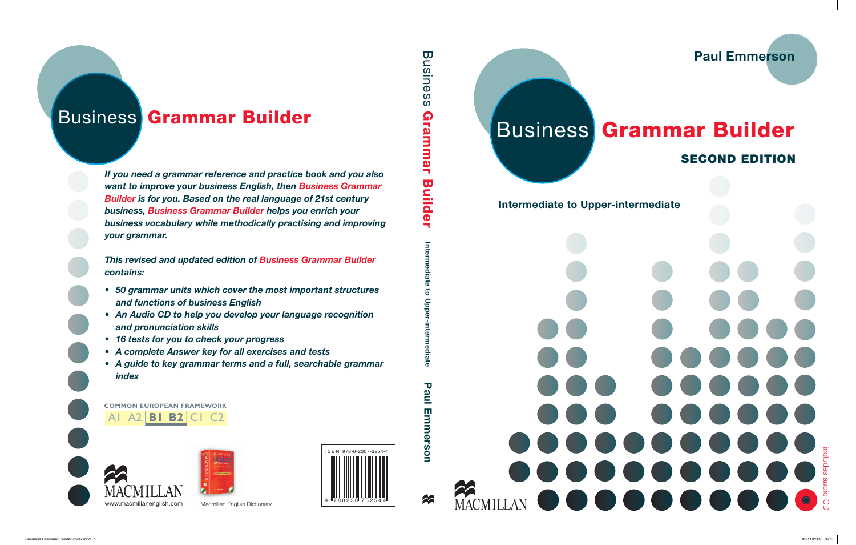# includes audio CD . . . .  $\blacksquare$

# **COMMON EUROPEAN FRAMEWORK** A1A2 **B1 B2** C1 C2

*If you need a grammar reference and practice book and you also want to improve your business English, then Business Grammar Builder is for you. Based on the real language of 21st century business, Business Grammar Builder helps you enrich your business vocabulary while methodically practising and improving your grammar.* 

*This revised and updated edition of Business Grammar Builder contains:*

# SECOND EDITION Business Grammar Builder<br>
Business Grammar Builder<br>
Susiness Grammar Builder<br>
SECOND EDITION

Paul Emmerson

- *50 grammar units which cover the most important structures and functions of business English*
- *An Audio CD to help you develop your language recognition and pronunciation skills*
- *16 tests for you to check your progress*
- *A complete Answer key for all exercises and tests*

*• A guide to key grammar terms and a full, searchable grammar index*







# Intermediate to Upper-intermediate

merson

MACMILLAN<sup></sup>

22



Macmillan English Dictionary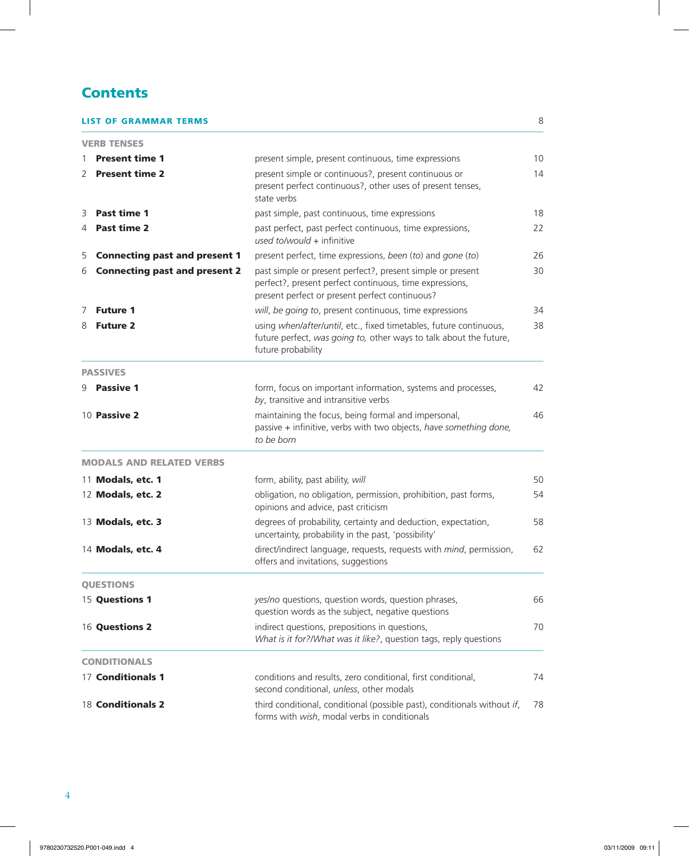# **Contents**

 $\overline{\phantom{a}}$ 

# **LIST OF GRAMMAR TERMS** 8

|   | <b>VERB TENSES</b>                   |                                                                                                                                                                         |    |
|---|--------------------------------------|-------------------------------------------------------------------------------------------------------------------------------------------------------------------------|----|
|   | <b>Present time 1</b>                | present simple, present continuous, time expressions                                                                                                                    | 10 |
| 2 | <b>Present time 2</b>                | present simple or continuous?, present continuous or<br>present perfect continuous?, other uses of present tenses,<br>state verbs                                       | 14 |
| 3 | Past time 1                          | past simple, past continuous, time expressions                                                                                                                          | 18 |
| 4 | Past time 2                          | past perfect, past perfect continuous, time expressions,<br>used to/would + infinitive                                                                                  | 22 |
| 5 | <b>Connecting past and present 1</b> | present perfect, time expressions, been (to) and gone (to)                                                                                                              | 26 |
| 6 | <b>Connecting past and present 2</b> | past simple or present perfect?, present simple or present<br>perfect?, present perfect continuous, time expressions,<br>present perfect or present perfect continuous? | 30 |
| 7 | <b>Future 1</b>                      | will, be going to, present continuous, time expressions                                                                                                                 | 34 |
| 8 | <b>Future 2</b>                      | using when/after/until, etc., fixed timetables, future continuous,<br>future perfect, was going to, other ways to talk about the future,<br>future probability          | 38 |
|   | <b>PASSIVES</b>                      |                                                                                                                                                                         |    |
| 9 | <b>Passive 1</b>                     | form, focus on important information, systems and processes,<br>by, transitive and intransitive verbs                                                                   | 42 |
|   | 10 Passive 2                         | maintaining the focus, being formal and impersonal,<br>passive + infinitive, verbs with two objects, have something done,<br>to be born                                 | 46 |
|   | <b>MODALS AND RELATED VERBS</b>      |                                                                                                                                                                         |    |
|   | 11 Modals, etc. 1                    | form, ability, past ability, will                                                                                                                                       | 50 |
|   | 12 Modals, etc. 2                    | obligation, no obligation, permission, prohibition, past forms,<br>opinions and advice, past criticism                                                                  | 54 |
|   | 13 Modals, etc. 3                    | degrees of probability, certainty and deduction, expectation,<br>uncertainty, probability in the past, 'possibility'                                                    | 58 |
|   | 14 Modals, etc. 4                    | direct/indirect language, requests, requests with mind, permission,<br>offers and invitations, suggestions                                                              | 62 |
|   | <b>OUESTIONS</b>                     |                                                                                                                                                                         |    |
|   | 15 Questions 1                       | yes/no questions, question words, question phrases,<br>question words as the subject, negative questions                                                                | 66 |
|   | 16 Questions 2                       | indirect questions, prepositions in questions,<br>What is it for?/What was it like?, question tags, reply questions                                                     | 70 |
|   | <b>CONDITIONALS</b>                  |                                                                                                                                                                         |    |
|   | 17 Conditionals 1                    | conditions and results, zero conditional, first conditional,<br>second conditional, unless, other modals                                                                | 74 |
|   | 18 Conditionals 2                    | third conditional, conditional (possible past), conditionals without if,<br>forms with wish, modal verbs in conditionals                                                | 78 |

 $\overline{\phantom{a}}$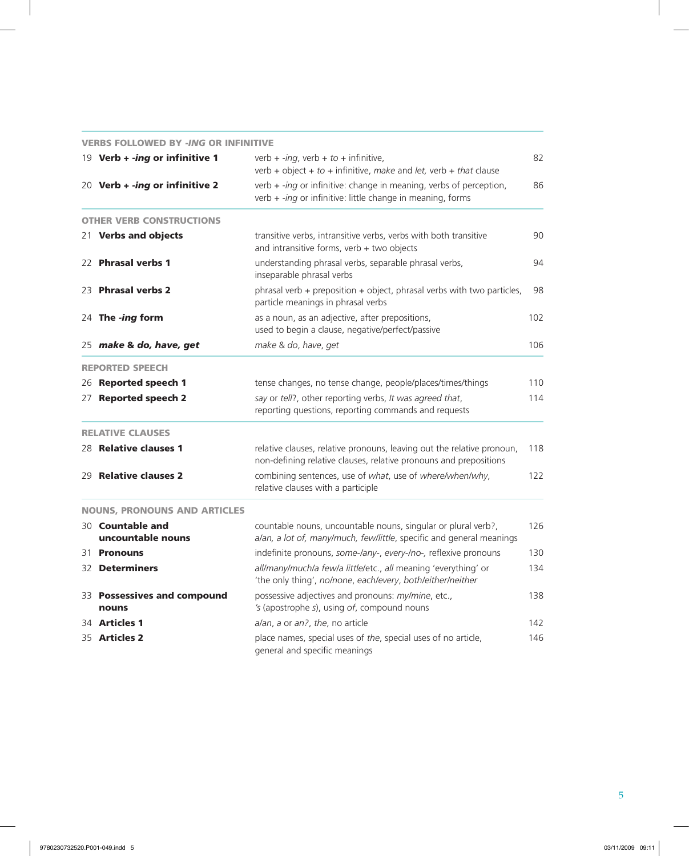|    | <b>VERBS FOLLOWED BY -ING OR INFINITIVE</b>  |                                                                                                                                             |     |
|----|----------------------------------------------|---------------------------------------------------------------------------------------------------------------------------------------------|-----|
|    | 19 Verb + -ing or infinitive 1               | verb + -ing, verb + to + infinitive,<br>verb + object + to + infinitive, make and let, verb + that clause                                   | 82  |
|    | 20 Verb + <i>-ing</i> or infinitive 2        | verb $+$ -ing or infinitive: change in meaning, verbs of perception,<br>verb + -ing or infinitive: little change in meaning, forms          | 86  |
|    | <b>OTHER VERB CONSTRUCTIONS</b>              |                                                                                                                                             |     |
|    | 21 Verbs and objects                         | transitive verbs, intransitive verbs, verbs with both transitive<br>and intransitive forms, verb + two objects                              | 90  |
|    | 22 Phrasal verbs 1                           | understanding phrasal verbs, separable phrasal verbs,<br>inseparable phrasal verbs                                                          | 94  |
|    | 23 Phrasal verbs 2                           | phrasal verb $+$ preposition $+$ object, phrasal verbs with two particles,<br>particle meanings in phrasal verbs                            | 98  |
|    | 24 The -ing form                             | as a noun, as an adjective, after prepositions,<br>used to begin a clause, negative/perfect/passive                                         | 102 |
|    | 25 make & do, have, get                      | make & do, have, get                                                                                                                        | 106 |
|    | <b>REPORTED SPEECH</b>                       |                                                                                                                                             |     |
|    | 26 Reported speech 1                         | tense changes, no tense change, people/places/times/things                                                                                  | 110 |
| 27 | <b>Reported speech 2</b>                     | say or tell?, other reporting verbs, It was agreed that,<br>reporting questions, reporting commands and requests                            | 114 |
|    | <b>RELATIVE CLAUSES</b>                      |                                                                                                                                             |     |
|    | 28 Relative clauses 1                        | relative clauses, relative pronouns, leaving out the relative pronoun,<br>non-defining relative clauses, relative pronouns and prepositions | 118 |
|    | 29 Relative clauses 2                        | combining sentences, use of what, use of where/when/why,<br>relative clauses with a participle                                              | 122 |
|    | <b>NOUNS, PRONOUNS AND ARTICLES</b>          |                                                                                                                                             |     |
|    | 30 <b>Countable and</b><br>uncountable nouns | countable nouns, uncountable nouns, singular or plural verb?,<br>a/an, a lot of, many/much, few/little, specific and general meanings       | 126 |
|    | 31 <b>Pronouns</b>                           | indefinite pronouns, some-/any-, every-/no-, reflexive pronouns                                                                             | 130 |
|    | 32 <b>Determiners</b>                        | all/many/much/a few/a little/etc., all meaning 'everything' or<br>'the only thing', no/none, each/every, both/either/neither                | 134 |
|    | 33 Possessives and compound<br>nouns         | possessive adjectives and pronouns: my/mine, etc.,<br>'s (apostrophe s), using of, compound nouns                                           | 138 |
|    | 34 Articles 1                                | a/an, a or an?, the, no article                                                                                                             | 142 |
|    | 35 Articles 2                                | place names, special uses of the, special uses of no article,<br>general and specific meanings                                              | 146 |

 $\overline{\phantom{a}}$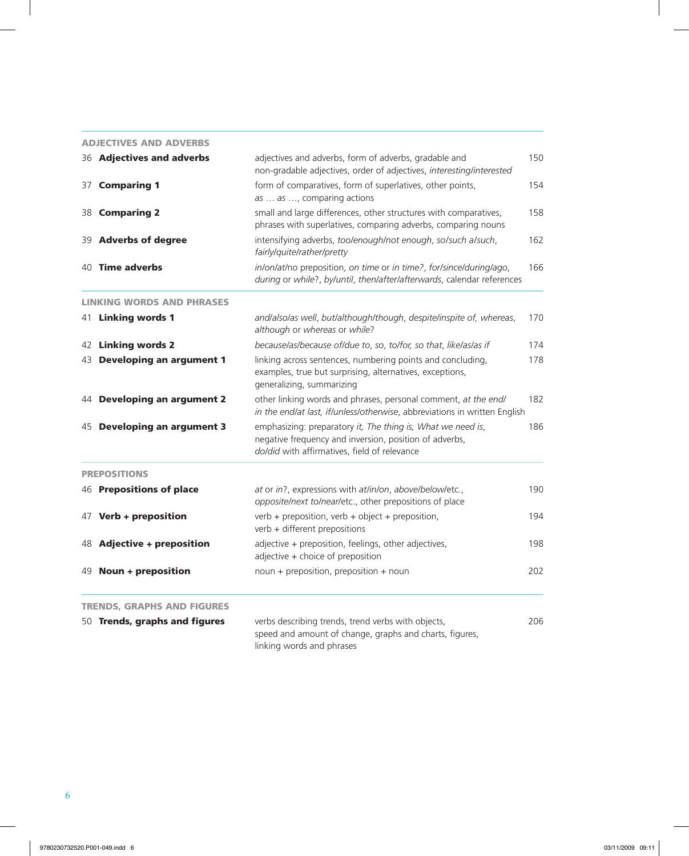| <b>ADJECTIVES AND ADVERBS</b>     |                                                                                                                                                                       |     |
|-----------------------------------|-----------------------------------------------------------------------------------------------------------------------------------------------------------------------|-----|
| 36 <b>Adjectives and adverbs</b>  | adjectives and adverbs, form of adverbs, gradable and<br>non-gradable adjectives, order of adjectives, interesting/interested                                         | 150 |
| 37 Comparing 1                    | form of comparatives, form of superlatives, other points,<br>as  as , comparing actions                                                                               | 154 |
| 38 Comparing 2                    | small and large differences, other structures with comparatives,<br>phrases with superlatives, comparing adverbs, comparing nouns                                     | 158 |
| 39 Adverbs of degree              | intensifying adverbs, too/enough/not enough, so/such a/such,<br>fairly/quite/rather/pretty                                                                            | 162 |
| 40 Time adverbs                   | in/on/at/no preposition, on time or in time?, for/since/during/ago,<br>during or while?, by/until, then/after/afterwards, calendar references                         | 166 |
| <b>LINKING WORDS AND PHRASES</b>  |                                                                                                                                                                       |     |
| 41 Linking words 1                | and/also/as well, but/although/though, despite/inspite of, whereas,<br>although or whereas or while?                                                                  | 170 |
| 42 Linking words 2                | because/as/because of/due to, so, to/for, so that, like/as/as if                                                                                                      | 174 |
| 43 Developing an argument 1       | linking across sentences, numbering points and concluding,<br>examples, true but surprising, alternatives, exceptions,<br>generalizing, summarizing                   | 178 |
| 44 Developing an argument 2       | other linking words and phrases, personal comment, at the end/<br>in the end/at last, if/unless/otherwise, abbreviations in written English                           | 182 |
| 45 Developing an argument 3       | emphasizing: preparatory it, The thing is, What we need is,<br>negative frequency and inversion, position of adverbs,<br>do/did with affirmatives, field of relevance | 186 |
| <b>PREPOSITIONS</b>               |                                                                                                                                                                       |     |
| 46 Prepositions of place          | at or in?, expressions with at/in/on, above/below/etc.,<br>opposite/next to/near/etc., other prepositions of place                                                    | 190 |
| 47 Verb + preposition             | verb + preposition, verb + object + preposition,<br>verb + different prepositions                                                                                     | 194 |
| 48 Adjective + preposition        | adjective + preposition, feelings, other adjectives,<br>adjective + choice of preposition                                                                             | 198 |
| 49 Noun + preposition             | noun + preposition, preposition + noun                                                                                                                                | 202 |
| <b>TRENDS, GRAPHS AND FIGURES</b> |                                                                                                                                                                       |     |
| 50 Trends, graphs and figures     | verbs describing trends, trend verbs with objects,<br>speed and amount of change, graphs and charts, figures,<br>linking words and phrases                            | 206 |

 $\mathcal{L}$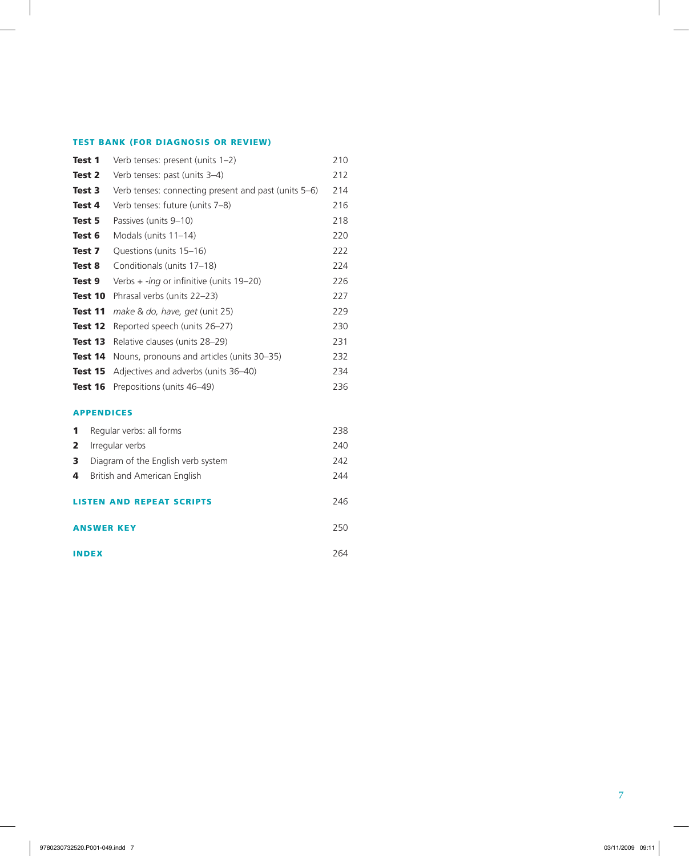# TEST BANK (FOR DIAGNOSIS OR REVIEW)

 $\mathcal{L}$ 

| Test 1 |         | Verb tenses: present (units 1-2)                     | 210 |
|--------|---------|------------------------------------------------------|-----|
| Test 2 |         | Verb tenses: past (units 3-4)                        | 212 |
| Test 3 |         | Verb tenses: connecting present and past (units 5–6) | 214 |
| Test 4 |         | Verb tenses: future (units 7-8)                      | 216 |
| Test 5 |         | Passives (units 9-10)                                | 218 |
| Test 6 |         | Modals (units 11-14)                                 | 220 |
| Test 7 |         | Questions (units 15-16)                              | 222 |
| Test 8 |         | Conditionals (units 17-18)                           | 224 |
| Test 9 |         | Verbs $+$ -ing or infinitive (units 19-20)           | 226 |
|        | Test 10 | Phrasal verbs (units 22-23)                          | 227 |
|        | Test 11 | make & do, have, get (unit 25)                       | 229 |
|        | Test 12 | Reported speech (units 26-27)                        | 230 |
|        | Test 13 | Relative clauses (units 28-29)                       | 231 |
|        | Test 14 | Nouns, pronouns and articles (units 30–35)           | 232 |
|        | Test 15 | Adjectives and adverbs (units 36-40)                 | 234 |
|        | Test 16 | Prepositions (units 46-49)                           | 236 |
|        |         | <b>APPENDICES</b>                                    |     |
| 1      |         | Regular verbs: all forms                             | 238 |
| 2      |         | Irregular verbs                                      | 240 |
| 3      |         | Diagram of the English verb system                   | 242 |
| 4      |         | British and American English                         | 244 |
|        |         | <b>STEN AND REPEAT SCRIPTS</b>                       | 246 |

ANSWER KEY 250

 $\overline{\phantom{a}}$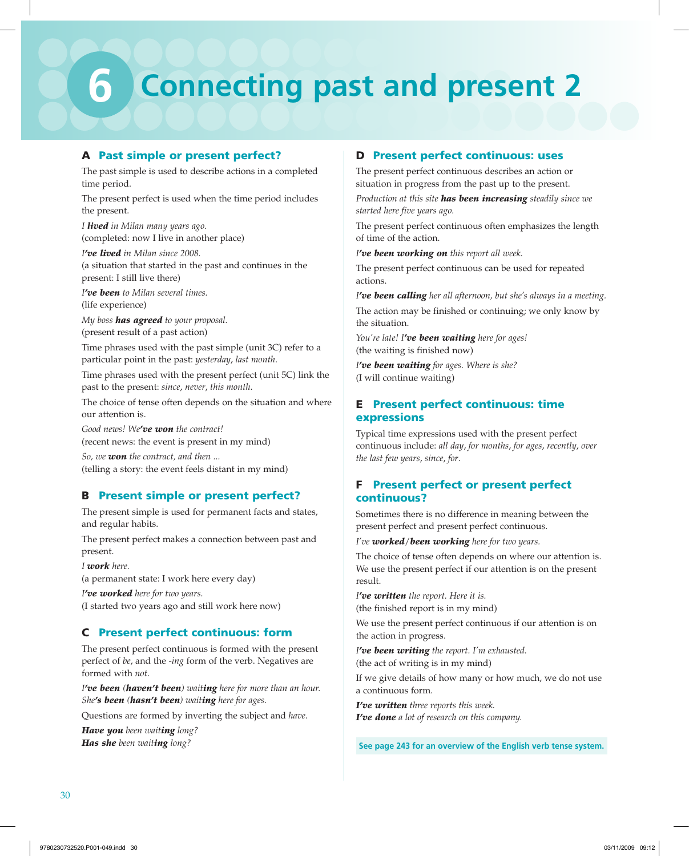# **6 Connecting past and present 2**

# A Past simple or present perfect?

The past simple is used to describe actions in a completed time period.

The present perfect is used when the time period includes the present.

*I lived in Milan many years ago.* (completed: now I live in another place)

*I've lived in Milan since 2008.* (a situation that started in the past and continues in the present: I still live there)

*I've been to Milan several times.* (life experience)

*My boss has agreed to your proposal.* (present result of a past action)

Time phrases used with the past simple (unit 3C) refer to a particular point in the past: *yesterday*, *last month*.

Time phrases used with the present perfect (unit 5C) link the past to the present: *since*, *never*, *this month*.

The choice of tense often depends on the situation and where our attention is.

*Good news! We've won the contract!* (recent news: the event is present in my mind)

*So, we won the contract, and then ...* (telling a story: the event feels distant in my mind)

# B Present simple or present perfect?

The present simple is used for permanent facts and states, and regular habits.

The present perfect makes a connection between past and present.

*I work here.*

(a permanent state: I work here every day)

*I've worked here for two years.* (I started two years ago and still work here now)

# C Present perfect continuous: form

The present perfect continuous is formed with the present perfect of *be*, and the -*ing* form of the verb. Negatives are formed with *not*.

*I've been (haven't been) waiting here for more than an hour. She's been (hasn't been) waiting here for ages.*

Questions are formed by inverting the subject and *have*.

*Have you been waiting long? Has she been waiting long?*

# D Present perfect continuous: uses

The present perfect continuous describes an action or situation in progress from the past up to the present.

*Production at this site has been increasing steadily since we started here five years ago.*

The present perfect continuous often emphasizes the length of time of the action.

*I've been working on this report all week.*

The present perfect continuous can be used for repeated actions.

*I've been calling her all afternoon, but she's always in a meeting.*

The action may be finished or continuing; we only know by the situation.

*You're late! I've been waiting here for ages!* (the waiting is finished now)

*I've been waiting for ages. Where is she?* (I will continue waiting)

# E Present perfect continuous: time expressions

Typical time expressions used with the present perfect continuous include: *all day*, *for months*, *for ages*, *recently*, *over the last few years*, *since*, *for*.

# F Present perfect or present perfect continuous?

Sometimes there is no difference in meaning between the present perfect and present perfect continuous.

*I've worked*/*been working here for two years.*

The choice of tense often depends on where our attention is. We use the present perfect if our attention is on the present result.

*I've written the report. Here it is.* (the finished report is in my mind)

We use the present perfect continuous if our attention is on the action in progress.

*I've been writing the report. I'm exhausted.* (the act of writing is in my mind)

If we give details of how many or how much, we do not use a continuous form.

*I've written three reports this week. I've done a lot of research on this company.*

**See page 243 for an overview of the English verb tense system.**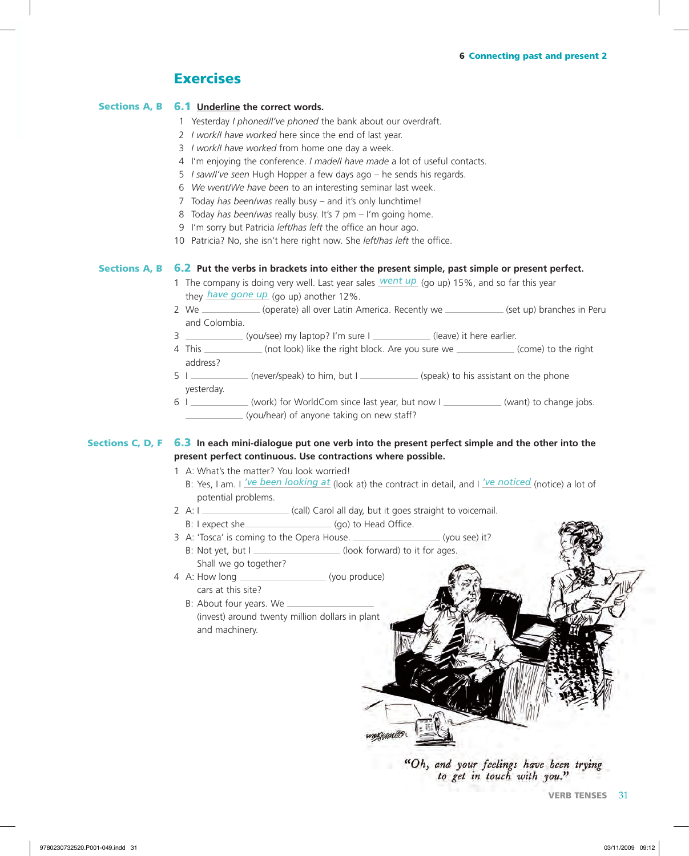# 6 Connecting past and present 2

# **Exercises**

# Sections A, B 6.1 Underline the correct words.

- 1 Yesterday *I phoned/I've phoned* the bank about our overdraft.
- 2 *I work/I have worked* here since the end of last year.
- 3 *I work/I have worked* from home one day a week.
- 4 I'm enjoying the conference. *I made/I have made* a lot of useful contacts.
- 5 *I saw/I've seen* Hugh Hopper a few days ago he sends his regards.
- 6 *We went/We have been* to an interesting seminar last week.
- 7 Today *has been/was* really busy and it's only lunchtime!
- 8 Today *has been/was* really busy. It's 7 pm I'm going home.
- 9 I'm sorry but Patricia *left/has left* the office an hour ago.
- 10 Patricia? No, she isn't here right now. She *left/has left* the office.

# Sections A, B 6.2 Put the verbs in brackets into either the present simple, past simple or present perfect.

- 1 The company is doing very well. Last year sales *went up* (go up) 15%, and so far this year they *have gone up* (go up) another 12%.
- 2 We (operate) all over Latin America. Recently we (set up) branches in Peru and Colombia.
- 3 (you/see) my laptop? I'm sure I (leave) it here earlier.
- 4 This \_\_\_\_\_\_\_\_\_\_\_ (not look) like the right block. Are you sure we  $\qquad$  (come) to the right address?
- 5 I (never/speak) to him, but I (speak) to his assistant on the phone yesterday.
- 6 I (work) for WorldCom since last year, but now I (want) to change jobs. (you/hear) of anyone taking on new staff?

# Sections C, D, F 6.3 In each mini-dialogue put one verb into the present perfect simple and the other into the **present perfect continuous. Use contractions where possible.**

- 1 A: What's the matter? You look worried!
	- B: Yes, I am. I *'ve been looking at* (look at) the contract in detail, and I *'ve noticed* (notice) a lot of potential problems.
- 2 A: I \_\_\_\_\_\_\_\_\_\_\_\_\_\_\_\_\_\_\_\_\_\_(call) Carol all day, but it goes straight to voicemail.
	- B: I expect she (go) to Head Office.
- 3 A: 'Tosca' is coming to the Opera House. (you see) it? B: Not yet, but I \_\_\_\_\_\_\_\_\_\_\_\_\_\_\_\_\_(look forward) to it for ages.
- Shall we go together? 4 A: How long (you produce) cars at this site?
	- B: About four years. We (invest) around twenty million dollars in plant and machinery.

"Oh, and your feelings have been trying to get in touch with you."

**VERB TENSES** 31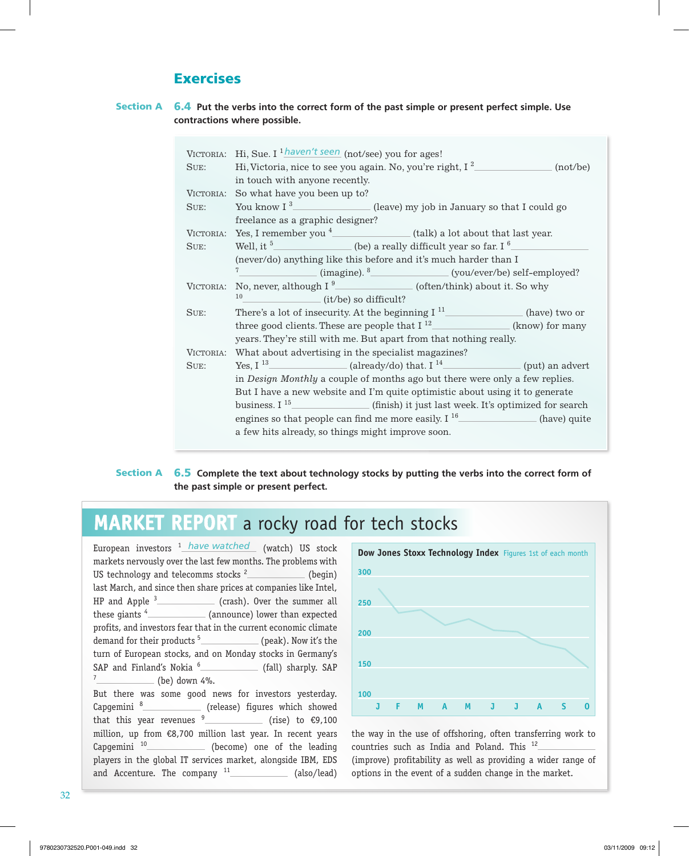# **Exercises**

# 6.4 **Put the verbs into the correct form of the past simple or present perfect simple. Use contractions where possible. Section A**

| VICTORIA: | Hi, Sue. I $\frac{1 \text{ haven't seen}}{2}$ (not/see) you for ages!        |  |
|-----------|------------------------------------------------------------------------------|--|
| SUE:      | (not/be)                                                                     |  |
|           | in touch with anyone recently.                                               |  |
| VICTORIA: | So what have you been up to?                                                 |  |
| SUE:      | You know $I^3$ (leave) my job in January so that I could go                  |  |
|           | freelance as a graphic designer?                                             |  |
| VICTORIA: | Yes, I remember you $4$ (talk) a lot about that last year.                   |  |
| SUE:      | Well, it $5$<br>$\hbox{\tt (be)}$ a really difficult year so far. I $^6$     |  |
|           | (never/do) anything like this before and it's much harder than I             |  |
|           | $7^{\circ}$<br>$(image).$ <sup>8</sup> $(you/ever/be) self-employed?$        |  |
| VICTORIA: | No, never, although I $^9$ (often/think) about it. So why                    |  |
|           | 10<br>(it/be) so difficult?                                                  |  |
| SUE:      | There's a lot of insecurity. At the beginning $I11$ (have) two or            |  |
|           | three good clients. These are people that $I^{12}$ (know) for many           |  |
|           | years. They're still with me. But apart from that nothing really.            |  |
| VICTORIA: | What about advertising in the specialist magazines?                          |  |
| SUE:      | Yes, $I^{13}$ (already/do) that $I^{14}$ (put) an advert                     |  |
|           | in Design Monthly a couple of months ago but there were only a few replies.  |  |
|           | But I have a new website and I'm quite optimistic about using it to generate |  |
|           | business. $I^{15}$ (finish) it just last week. It's optimized for search     |  |
|           | engines so that people can find me more easily. $I16$ (have) quite           |  |
|           | a few hits already, so things might improve soon.                            |  |
|           |                                                                              |  |

# 6.5 **Complete the text about technology stocks by putting the verbs into the correct form of the past simple or present perfect. Section A**

# **MARKET REPORT** a rocky road for tech stocks

| European investors <sup>1</sup> have watched (watch) US stock                        |
|--------------------------------------------------------------------------------------|
| markets nervously over the last few months. The problems with                        |
| US technology and telecomms stocks <sup>2</sup> _____________ (begin)                |
| last March, and since then share prices at companies like Intel,                     |
| HP and Apple $3$ (crash). Over the summer all                                        |
| these giants <sup>4</sup> ________________(announce) lower than expected             |
| profits, and investors fear that in the current economic climate                     |
|                                                                                      |
| turn of European stocks, and on Monday stocks in Germany's                           |
| SAP and Finland's Nokia <sup>6</sup> _______________ (fall) sharply. SAP             |
| $7$ (be) down 4%.                                                                    |
| But there was some good news for investors yesterday.                                |
| Capgemini <sup>8</sup> <sub>___________________ (release) figures which showed</sub> |
| that this year revenues $9$ (rise) to $\epsilon$ 9,100                               |
| million, up from €8,700 million last year. In recent years                           |
| Capgemini <sup>10</sup> <sub>____</sub> _____________(become) one of the leading     |
| players in the global IT services market, alongside IBM, EDS                         |
| and Accenture. The company $11$ (also/lead)                                          |



the way in the use of offshoring, often transferring work to countries such as India and Poland. This <sup>12</sup> (improve) profitability as well as providing a wider range of options in the event of a sudden change in the market.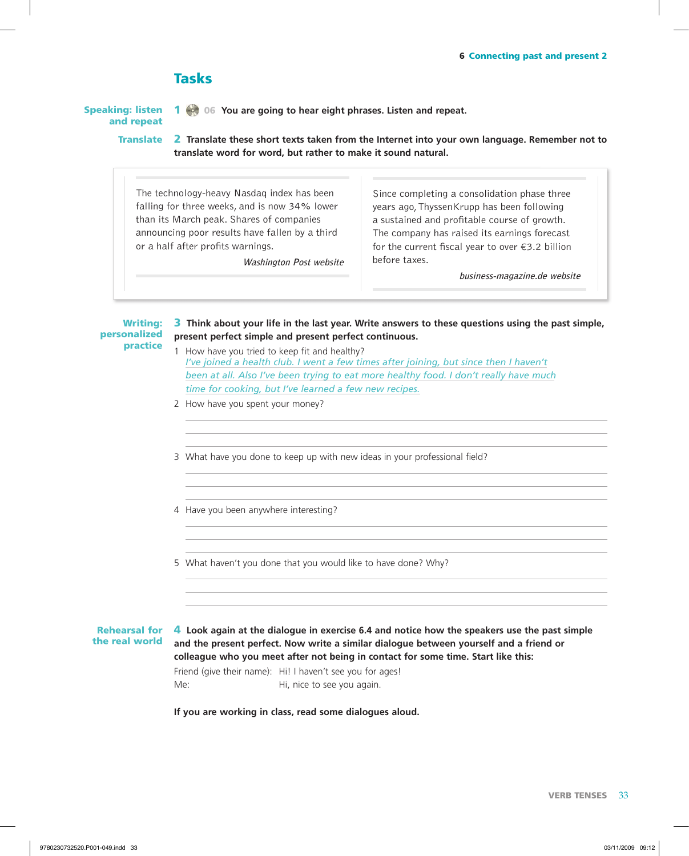# **Tasks**

speaking: listen and repeat

1 06 **You are going to hear eight phrases. Listen and repeat.**

2 **Translate these short texts taken from the Internet into your own language. Remember not to translate word for word, but rather to make it sound natural. Translate** 

The technology-heavy Nasdaq index has been falling for three weeks, and is now 34% lower than its March peak. Shares of companies announcing poor results have fallen by a third or a half after profits warnings.

**Washington Post website**

Since completing a consolidation phase three years ago, ThyssenKrupp has been following a sustained and profitable course of growth. The company has raised its earnings forecast for the current fiscal year to over  $\epsilon$ 3.2 billion before taxes.

**business-magazine.de website**

3 **Think about your life in the last year. Write answers to these questions using the past simple, present perfect simple and present perfect continuous.** Writing: personalized practice

- 1 How have you tried to keep fit and healthy?  *I've joined a health club. I went a few times after joining, but since then I haven't been at all. Also I've been trying to eat more healthy food. I don't really have much time for cooking, but I've learned a few new recipes.*
- 2 How have you spent your money?

3 What have you done to keep up with new ideas in your professional field?

4 Have you been anywhere interesting?

5 What haven't you done that you would like to have done? Why?

**Rehearsal for** the real world

4 **Look again at the dialogue in exercise 6.4 and notice how the speakers use the past simple and the present perfect. Now write a similar dialogue between yourself and a friend or colleague who you meet after not being in contact for some time. Start like this:**

Friend (give their name): Hi! I haven't see you for ages! Me: Me: Hi, nice to see you again.

**If you are working in class, read some dialogues aloud.**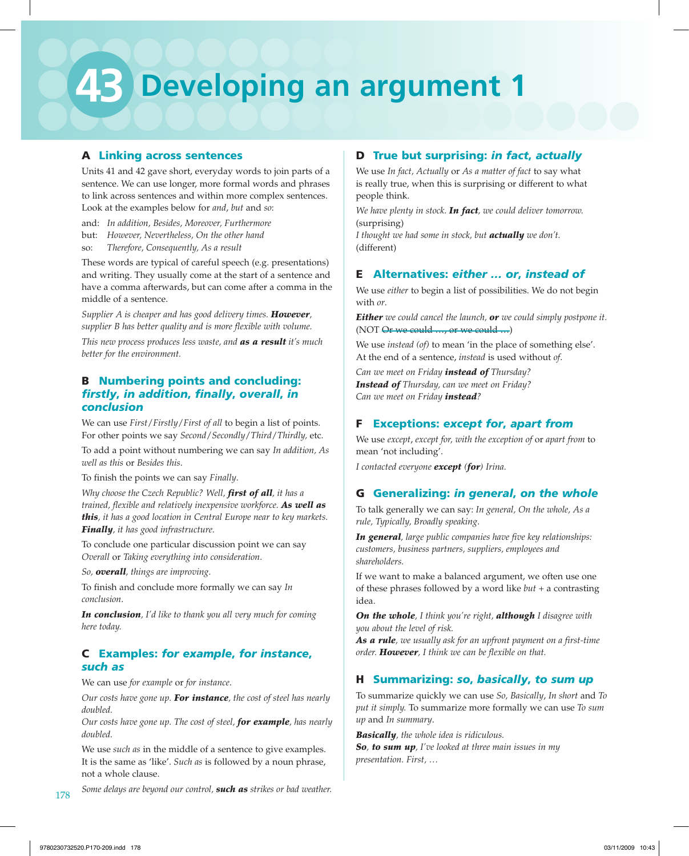# **43 Developing an argument 1**

# A Linking across sentences

Units 41 and 42 gave short, everyday words to join parts of a sentence. We can use longer, more formal words and phrases to link across sentences and within more complex sentences. Look at the examples below for *and*, *but* and *so*:

and: *In addition, Besides, Moreover, Furthermore* but: *However, Nevertheless, On the other hand* so: *Therefore, Consequently, As a result*

These words are typical of careful speech (e.g. presentations) and writing. They usually come at the start of a sentence and have a comma afterwards, but can come after a comma in the middle of a sentence.

*Supplier A is cheaper and has good delivery times. However, supplier B has better quality and is more flexible with volume.*

*This new process produces less waste, and as a result it's much better for the environment.*

# **B** Numbering points and concluding: *firstly*, *in addition*, *finally*, *overall*, *in conclusion*

We can use *First*/*Firstly*/*First of all* to begin a list of points. For other points we say *Second*/*Secondly*/*Third*/*Thirdly,* etc.

To add a point without numbering we can say *In addition, As well as this* or *Besides this*.

To finish the points we can say *Finally*.

*Why choose the Czech Republic? Well, first of all, it has a trained, flexible and relatively inexpensive workforce. As well as this, it has a good location in Central Europe near to key markets. Finally, it has good infrastructure.*

To conclude one particular discussion point we can say *Overall* or *Taking everything into consideration*.

*So, overall, things are improving.*

To finish and conclude more formally we can say *In conclusion*.

*In conclusion, I'd like to thank you all very much for coming here today.*

# C Examples: *for example*, *for instance*, *such as*

We can use *for example* or *for instance*.

*Our costs have gone up. For instance, the cost of steel has nearly doubled.* 

*Our costs have gone up. The cost of steel, for example, has nearly doubled.*

We use *such as* in the middle of a sentence to give examples. It is the same as 'like'. *Such as* is followed by a noun phrase, not a whole clause.

# 178 178 Some delays are beyond our control, **such as** strikes or bad weather.

# D True but surprising: *in fact*, *actually*

We use *In fact, Actually* or *As a matter of fact* to say what is really true, when this is surprising or different to what people think.

*We have plenty in stock. In fact, we could deliver tomorrow.* (surprising)

*I thought we had some in stock, but actually we don't.* (different)

# E Alternatives: *either … or*, *instead of*

We use *either* to begin a list of possibilities. We do not begin with *or*.

*Either we could cancel the launch, or we could simply postpone it.* (NOT Or we could ..., or we could ...)

We use *instead (of)* to mean 'in the place of something else'. At the end of a sentence, *instead* is used without *of*.

*Can we meet on Friday instead of Thursday? Instead of Thursday, can we meet on Friday? Can we meet on Friday instead?*

# F Exceptions: *except for*, *apart from*

We use *except*, *except for, with the exception of* or *apart from* to mean 'not including'.

*I contacted everyone except (for) Irina.*

# G Generalizing: *in general*, *on the whole*

To talk generally we can say: *In general, On the whole, As a rule, Typically, Broadly speaking*.

*In general, large public companies have five key relationships: customers, business partners, suppliers, employees and shareholders.*

If we want to make a balanced argument, we often use one of these phrases followed by a word like *but* + a contrasting idea.

*On the whole, I think you're right, although I disagree with you about the level of risk.* 

*As a rule, we usually ask for an upfront payment on a first-time order. However, I think we can be flexible on that.*

# H Summarizing: *so*, *basically*, *to sum up*

To summarize quickly we can use *So, Basically*, *In short* and *To put it simply.* To summarize more formally we can use *To sum up* and *In summary*.

*Basically, the whole idea is ridiculous. So, to sum up, I've looked at three main issues in my presentation. First, …*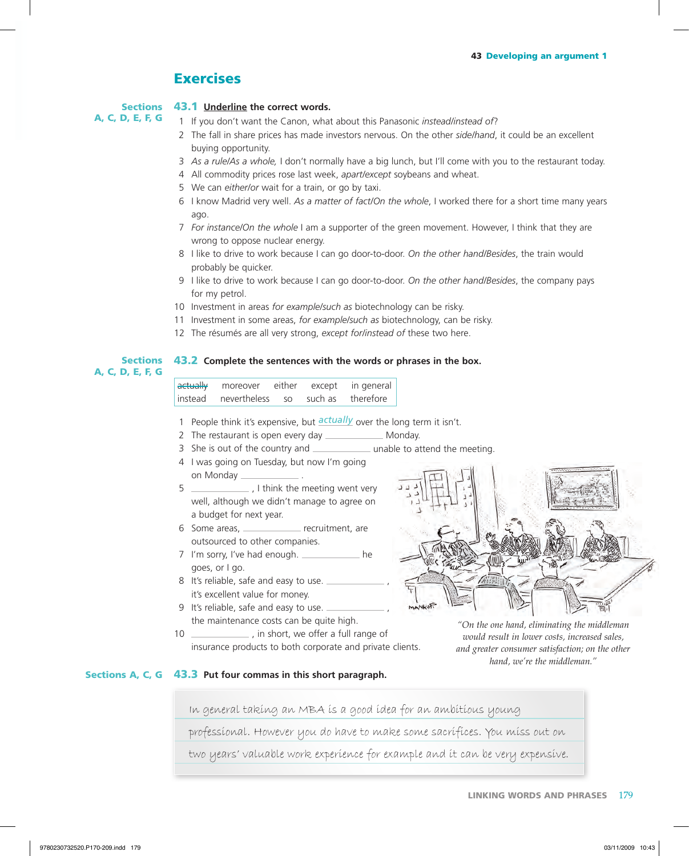# **Exercises**

## 43.1 **Underline the correct words. Sections**

A, C, D, E, F, G

1 If you don't want the Canon, what about this Panasonic instead/instead of?

- 2 The fall in share prices has made investors nervous. On the other side/hand, it could be an excellent buying opportunity.
- 3 As a rule/As a whole, I don't normally have a big lunch, but I'll come with you to the restaurant today.
- 4 All commodity prices rose last week, *apart/except* soybeans and wheat.
- 5 We can either/or wait for a train, or go by taxi.
- 6 I know Madrid very well. As a matter of fact/On the whole, I worked there for a short time many years ago.
- 7 For instance/On the whole I am a supporter of the green movement. However, I think that they are wrong to oppose nuclear energy.
- 8 I like to drive to work because I can go door-to-door. On the other hand/Besides, the train would probably be quicker.
- 9 I like to drive to work because I can go door-to-door. On the other hand/Besides, the company pays for my petrol.
- 10 Investment in areas *for example/such as* biotechnology can be risky.
- 11 Investment in some areas, *for example/such as* biotechnology, can be risky.
- 12 The résumés are all very strong, *except forlinstead of* these two here.

# **43.2** Complete the sentences with the words or phrases in the box. **Sections** A, C, D, E, F, G

| $ $ actually | moreover     | either    | except  | in general |
|--------------|--------------|-----------|---------|------------|
| linstead     | nevertheless | <b>SO</b> | such as | therefore  |

- 1 People think it's expensive, but *actually* over the long term it isn't.
- 2 The restaurant is open every day \_\_\_\_\_\_\_\_\_\_\_\_\_\_ Monday.
- 3 She is out of the country and \_\_\_\_\_\_\_\_\_\_\_\_\_\_ unable to attend the meeting.
- 4 I was going on Tuesday, but now I'm going on Monday \_\_\_
- 5 , I think the meeting went very well, although we didn't manage to agree on a budget for next year.
- 6 Some areas, \_\_\_\_\_\_\_\_\_\_\_\_\_\_ recruitment, are outsourced to other companies.
- 7 I'm sorry, I've had enough. \_\_\_\_\_\_\_\_\_\_\_\_ he goes, or I go.
- 8 It's reliable, safe and easy to use. it's excellent value for money.
- 9 It's reliable, safe and easy to use. the maintenance costs can be quite high.
- 10 \_\_\_\_\_\_\_\_\_\_\_\_\_\_, in short, we offer a full range of insurance products to both corporate and private clients.



*"On the one hand, eliminating the middleman would result in lower costs, increased sales, and greater consumer satisfaction; on the other hand, we're the middleman."*

# Sections A, C, G 43.3 Put four commas in this short paragraph.

In general taking an MBA is a good idea for an ambitious young

professional. However you do have to make some sacrifices. You miss out on

two years' valuable work experience for example and it can be very expensive.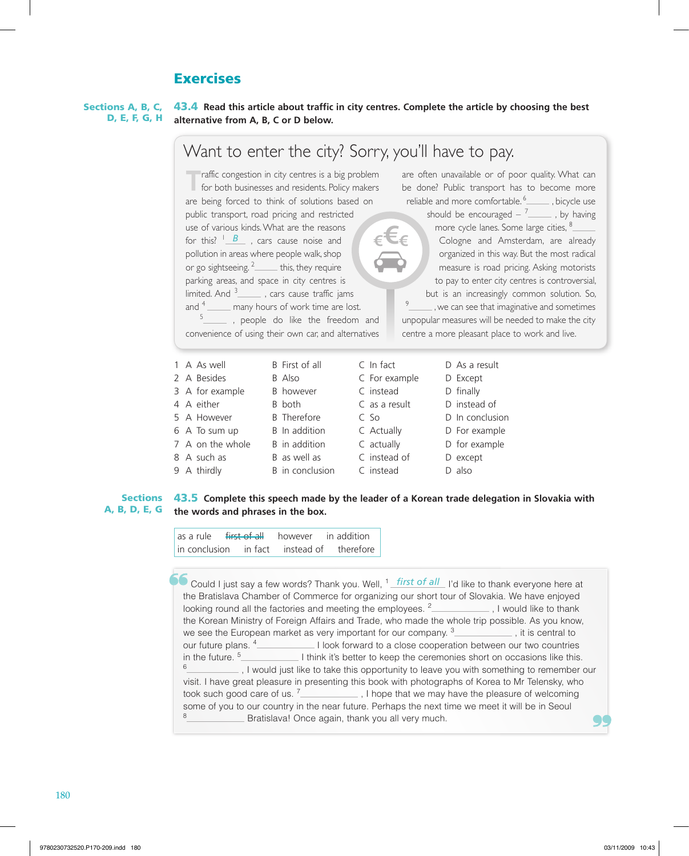# **Exercises**

43.4 **Read this article about traffic in city centres. Complete the article by choosing the best alternative from A, B, C or D below.** Sections A, B, C, D, E, F, G, H

|                                |                                                                                                                                                                                                                                                                                                                                                                                                                                                                                                                                                                                                                                                                                                                                                                                                                                                                                                                                                                                                                                       |               | Want to enter the city? Sorry, you'll have to pay.                                                                                                                                                                                                                                                                                                                                                                                                                                                                                                                                                             |
|--------------------------------|---------------------------------------------------------------------------------------------------------------------------------------------------------------------------------------------------------------------------------------------------------------------------------------------------------------------------------------------------------------------------------------------------------------------------------------------------------------------------------------------------------------------------------------------------------------------------------------------------------------------------------------------------------------------------------------------------------------------------------------------------------------------------------------------------------------------------------------------------------------------------------------------------------------------------------------------------------------------------------------------------------------------------------------|---------------|----------------------------------------------------------------------------------------------------------------------------------------------------------------------------------------------------------------------------------------------------------------------------------------------------------------------------------------------------------------------------------------------------------------------------------------------------------------------------------------------------------------------------------------------------------------------------------------------------------------|
|                                | raffic congestion in city centres is a big problem<br>for both businesses and residents. Policy makers<br>are being forced to think of solutions based on<br>public transport, road pricing and restricted<br>use of various kinds. What are the reasons<br>for this? $\frac{1}{1}$ , cars cause noise and<br>pollution in areas where people walk, shop<br>or go sightseeing. $2$ this, they require<br>parking areas, and space in city centres is<br>limited. And $3$ , cars cause traffic jams<br>and $4\frac{1}{\sqrt{1-\frac{1}{\sqrt{1-\frac{1}{\sqrt{1-\frac{1}{\sqrt{1-\frac{1}{\sqrt{1-\frac{1}{\sqrt{1-\frac{1}{\sqrt{1-\frac{1}{\sqrt{1-\frac{1}{\sqrt{1-\frac{1}{\sqrt{1-\frac{1}{\sqrt{1-\frac{1}{\sqrt{1-\frac{1}{\sqrt{1-\frac{1}{\sqrt{1-\frac{1}{\sqrt{1-\frac{1}{\sqrt{1-\frac{1}{\sqrt{1-\frac{1}{\sqrt{1-\frac{1}{\sqrt{1-\frac{1}{\sqrt{1-\frac{1}{\sqrt{1-\frac{1}{\sqrt{1-\frac{1}{\sqrt{1-\frac{1}{\sqrt{$<br>_____ , people do like the freedom and<br>convenience of using their own car, and alternatives |               | are often unavailable or of poor quality. What can<br>be done? Public transport has to become more<br>reliable and more comfortable. <sup>6</sup> _______, bicycle use<br>should be encouraged $-7$ , by having<br>more cycle lanes. Some large cities, 8_____<br>Cologne and Amsterdam, are already<br>organized in this way. But the most radical<br>measure is road pricing. Asking motorists<br>to pay to enter city centres is controversial,<br>but is an increasingly common solution. So,<br>9<br>unpopular measures will be needed to make the city<br>centre a more pleasant place to work and live. |
| 1 A As well                    | B First of all                                                                                                                                                                                                                                                                                                                                                                                                                                                                                                                                                                                                                                                                                                                                                                                                                                                                                                                                                                                                                        | $C$ In fact   | D As a result                                                                                                                                                                                                                                                                                                                                                                                                                                                                                                                                                                                                  |
| 2 A Besides                    | B Also                                                                                                                                                                                                                                                                                                                                                                                                                                                                                                                                                                                                                                                                                                                                                                                                                                                                                                                                                                                                                                | C For example | D Except                                                                                                                                                                                                                                                                                                                                                                                                                                                                                                                                                                                                       |
| 3 A for example                | B however                                                                                                                                                                                                                                                                                                                                                                                                                                                                                                                                                                                                                                                                                                                                                                                                                                                                                                                                                                                                                             | C instead     | D finally                                                                                                                                                                                                                                                                                                                                                                                                                                                                                                                                                                                                      |
| 4 A either                     | B both                                                                                                                                                                                                                                                                                                                                                                                                                                                                                                                                                                                                                                                                                                                                                                                                                                                                                                                                                                                                                                | C as a result | D instead of                                                                                                                                                                                                                                                                                                                                                                                                                                                                                                                                                                                                   |
| 5 A However                    | <b>B</b> Therefore                                                                                                                                                                                                                                                                                                                                                                                                                                                                                                                                                                                                                                                                                                                                                                                                                                                                                                                                                                                                                    | $C$ So        | D In conclusion                                                                                                                                                                                                                                                                                                                                                                                                                                                                                                                                                                                                |
| 6 A To sum up                  | B In addition                                                                                                                                                                                                                                                                                                                                                                                                                                                                                                                                                                                                                                                                                                                                                                                                                                                                                                                                                                                                                         | C Actually    | D For example                                                                                                                                                                                                                                                                                                                                                                                                                                                                                                                                                                                                  |
| 7 A on the whole B in addition |                                                                                                                                                                                                                                                                                                                                                                                                                                                                                                                                                                                                                                                                                                                                                                                                                                                                                                                                                                                                                                       | C actually    | D for example                                                                                                                                                                                                                                                                                                                                                                                                                                                                                                                                                                                                  |
| 8 A such as                    | B as well as                                                                                                                                                                                                                                                                                                                                                                                                                                                                                                                                                                                                                                                                                                                                                                                                                                                                                                                                                                                                                          | C instead of  | D except                                                                                                                                                                                                                                                                                                                                                                                                                                                                                                                                                                                                       |
| 9 A thirdly                    | B in conclusion                                                                                                                                                                                                                                                                                                                                                                                                                                                                                                                                                                                                                                                                                                                                                                                                                                                                                                                                                                                                                       | C instead     | D also                                                                                                                                                                                                                                                                                                                                                                                                                                                                                                                                                                                                         |

# Sections 43.5 Complete this speech made by the leader of a Korean trade delegation in Slovakia with **the words and phrases in the box.** A, B, D, E, G

| as a rule       | <del>first of all</del> | however    | in addition |
|-----------------|-------------------------|------------|-------------|
| l in conclusion | in fact                 | instead of | therefore   |

← Could I just say a few words? Thank you. Well, <sup>1</sup> first of all I'd like to thank everyone here at the Pertition Chank everyone here at the Bratislava Chamber of Commerce for organizing our short tour of Slovakia. We have enjoyed looking round all the factories and meeting the employees. <sup>2</sup> , I would like to thank the Korean Ministry of Foreign Affairs and Trade, who made the whole trip possible. As you know, we see the European market as very important for our company.  $3$  , it is central to our future plans. <sup>4</sup> I look forward to a close cooperation between our two countries in the future.<sup>5</sup> I think it's better to keep the ceremonies short on occasions like this. <sup>6</sup> , I would just like to take this opportunity to leave you with something to remember our visit. I have great pleasure in presenting this book with photographs of Korea to Mr Telensky, who took such good care of us. <sup>7</sup> \_\_\_\_\_\_\_\_\_\_\_\_\_\_, I hope that we may have the pleasure of welcoming some of you to our country in the near future. Perhaps the next time we meet it will be in Seoul Bratislava! Once again, thank you all very much.